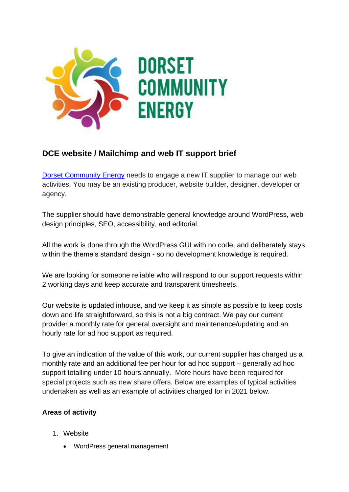

# **DCE website / Mailchimp and web IT support brief**

[Dorset Community Energy](https://www.dorsetcommunityenergy.org.uk/members/) needs to engage a new IT supplier to manage our web activities. You may be an existing producer, website builder, designer, developer or agency.

The supplier should have demonstrable general knowledge around WordPress, web design principles, SEO, accessibility, and editorial.

All the work is done through the WordPress GUI with no code, and deliberately stays within the theme's standard design - so no development knowledge is required.

We are looking for someone reliable who will respond to our support requests within 2 working days and keep accurate and transparent timesheets.

Our website is updated inhouse, and we keep it as simple as possible to keep costs down and life straightforward, so this is not a big contract. We pay our current provider a monthly rate for general oversight and maintenance/updating and an hourly rate for ad hoc support as required.

To give an indication of the value of this work, our current supplier has charged us a monthly rate and an additional fee per hour for ad hoc support – generally ad hoc support totalling under 10 hours annually. More hours have been required for special projects such as new share offers. Below are examples of typical activities undertaken as well as an example of activities charged for in 2021 below.

## **Areas of activity**

- 1. Website
	- WordPress general management